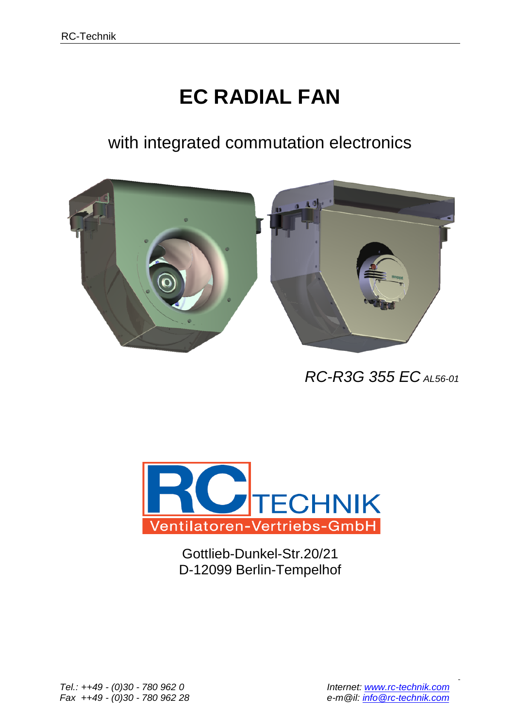## **EC RADIAL FAN**

with integrated commutation electronics



 *RC-R3G 355 EC AL56-01*



Gottlieb-Dunkel-Str.20/21 D-12099 Berlin-Tempelhof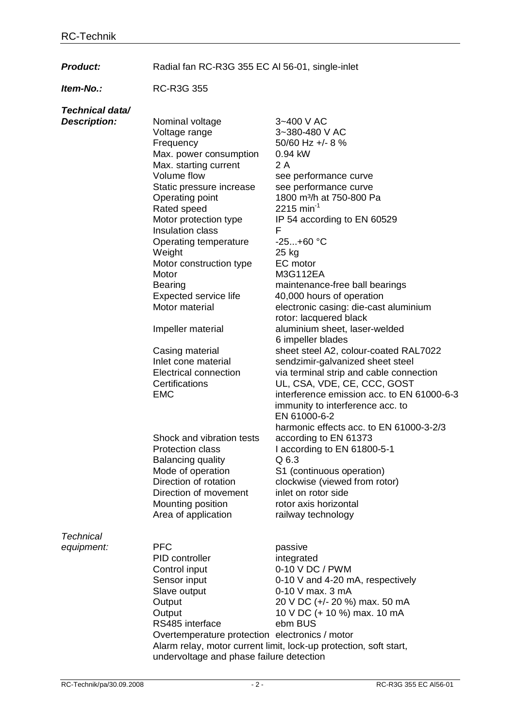Product: Radial fan RC-R3G 355 EC Al 56-01, single-inlet

*Item-No.:* RC-R3G 355

| Technical data/     |                                                |                                                                   |  |  |  |  |  |  |
|---------------------|------------------------------------------------|-------------------------------------------------------------------|--|--|--|--|--|--|
| <b>Description:</b> | Nominal voltage                                | 3~400 V AC                                                        |  |  |  |  |  |  |
|                     | Voltage range                                  | 3~380-480 V AC                                                    |  |  |  |  |  |  |
|                     | Frequency                                      | 50/60 Hz +/- 8 %                                                  |  |  |  |  |  |  |
|                     | Max. power consumption                         | 0.94 kW                                                           |  |  |  |  |  |  |
|                     | Max. starting current                          | 2 A                                                               |  |  |  |  |  |  |
|                     | Volume flow                                    | see performance curve                                             |  |  |  |  |  |  |
|                     | Static pressure increase                       | see performance curve                                             |  |  |  |  |  |  |
|                     | Operating point                                | 1800 m <sup>3</sup> /h at 750-800 Pa                              |  |  |  |  |  |  |
|                     | Rated speed                                    | 2215 min <sup>-1</sup>                                            |  |  |  |  |  |  |
|                     | Motor protection type                          | IP 54 according to EN 60529                                       |  |  |  |  |  |  |
|                     | Insulation class                               | F                                                                 |  |  |  |  |  |  |
|                     | Operating temperature                          | $-25+60 °C$                                                       |  |  |  |  |  |  |
|                     | Weight                                         | 25 kg                                                             |  |  |  |  |  |  |
|                     | Motor construction type                        | EC motor                                                          |  |  |  |  |  |  |
|                     | Motor                                          | M3G112EA                                                          |  |  |  |  |  |  |
|                     | <b>Bearing</b>                                 | maintenance-free ball bearings                                    |  |  |  |  |  |  |
|                     | Expected service life                          | 40,000 hours of operation                                         |  |  |  |  |  |  |
|                     | Motor material                                 | electronic casing: die-cast aluminium                             |  |  |  |  |  |  |
|                     |                                                | rotor: lacquered black                                            |  |  |  |  |  |  |
|                     | Impeller material                              | aluminium sheet, laser-welded                                     |  |  |  |  |  |  |
|                     |                                                | 6 impeller blades                                                 |  |  |  |  |  |  |
|                     | Casing material                                | sheet steel A2, colour-coated RAL7022                             |  |  |  |  |  |  |
|                     | Inlet cone material                            | sendzimir-galvanized sheet steel                                  |  |  |  |  |  |  |
|                     | <b>Electrical connection</b>                   | via terminal strip and cable connection                           |  |  |  |  |  |  |
|                     | Certifications                                 | UL, CSA, VDE, CE, CCC, GOST                                       |  |  |  |  |  |  |
|                     | <b>EMC</b>                                     | interference emission acc. to EN 61000-6-3                        |  |  |  |  |  |  |
|                     |                                                | immunity to interference acc. to                                  |  |  |  |  |  |  |
|                     |                                                | EN 61000-6-2                                                      |  |  |  |  |  |  |
|                     |                                                | harmonic effects acc. to EN 61000-3-2/3                           |  |  |  |  |  |  |
|                     | Shock and vibration tests                      | according to EN 61373                                             |  |  |  |  |  |  |
|                     | <b>Protection class</b>                        | I according to EN 61800-5-1                                       |  |  |  |  |  |  |
|                     | <b>Balancing quality</b>                       | Q 6.3                                                             |  |  |  |  |  |  |
|                     | Mode of operation                              | S1 (continuous operation)                                         |  |  |  |  |  |  |
|                     | Direction of rotation                          | clockwise (viewed from rotor)                                     |  |  |  |  |  |  |
|                     | Direction of movement                          | inlet on rotor side                                               |  |  |  |  |  |  |
|                     | Mounting position                              | rotor axis horizontal                                             |  |  |  |  |  |  |
|                     | Area of application                            | railway technology                                                |  |  |  |  |  |  |
| <b>Technical</b>    |                                                |                                                                   |  |  |  |  |  |  |
| equipment:          | <b>PFC</b>                                     | passive                                                           |  |  |  |  |  |  |
|                     | PID controller                                 | integrated                                                        |  |  |  |  |  |  |
|                     | Control input                                  | 0-10 V DC / PWM                                                   |  |  |  |  |  |  |
|                     | Sensor input                                   | 0-10 V and 4-20 mA, respectively                                  |  |  |  |  |  |  |
|                     | Slave output                                   | 0-10 V max. 3 mA                                                  |  |  |  |  |  |  |
|                     | Output                                         | 20 V DC (+/- 20 %) max. 50 mA                                     |  |  |  |  |  |  |
|                     | Output                                         | 10 V DC (+ 10 %) max. 10 mA                                       |  |  |  |  |  |  |
|                     | RS485 interface                                | ebm BUS                                                           |  |  |  |  |  |  |
|                     | Overtemperature protection electronics / motor |                                                                   |  |  |  |  |  |  |
|                     |                                                | Alarm relay, motor current limit, lock-up protection, soft start, |  |  |  |  |  |  |
|                     | undervoltage and phase failure detection       |                                                                   |  |  |  |  |  |  |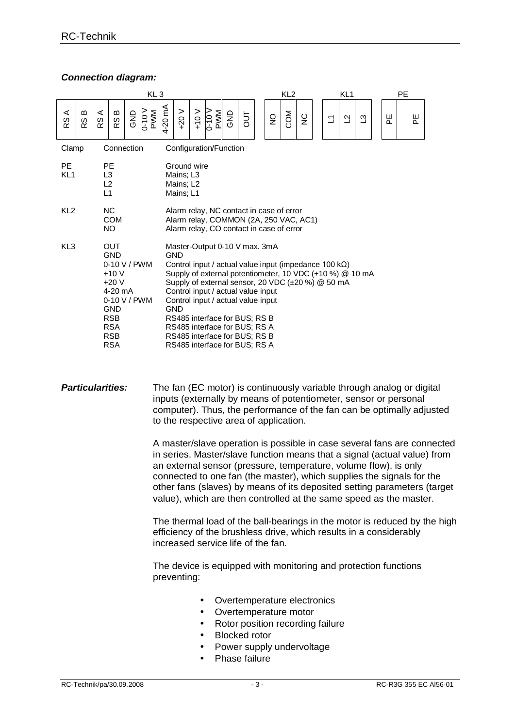## *Connection diagram:*

| KL <sub>3</sub>              |                                                                                                                                                                                                                                                                                                                                                                                                                                                                                                                                                                                                                                                   |                                  |                                   |     | KL <sub>2</sub> |         |                                                    |           | KL <sub>1</sub>        |     |     | <b>PE</b>      |     |               |  |             |              |              |  |               |  |               |  |
|------------------------------|---------------------------------------------------------------------------------------------------------------------------------------------------------------------------------------------------------------------------------------------------------------------------------------------------------------------------------------------------------------------------------------------------------------------------------------------------------------------------------------------------------------------------------------------------------------------------------------------------------------------------------------------------|----------------------------------|-----------------------------------|-----|-----------------|---------|----------------------------------------------------|-----------|------------------------|-----|-----|----------------|-----|---------------|--|-------------|--------------|--------------|--|---------------|--|---------------|--|
| $\prec$<br>w<br>$\alpha$     | മ<br>w<br>$\propto$                                                                                                                                                                                                                                                                                                                                                                                                                                                                                                                                                                                                                               | $\prec$<br>$\omega$<br>$\propto$ | m<br>RS                           | GNĐ | $0-10$ V<br>PWM | 4-20 mA | $+20V$                                             | $V$ 0 $V$ | <b>PWM</b><br>$0 - 0$  | GND | JПО | $\overline{2}$ | COM | $\frac{C}{Z}$ |  | $\mathbb Z$ | $\mathbf{r}$ | $\mathbf{C}$ |  | ш<br>$\Omega$ |  | ш<br>$\Omega$ |  |
| Clamp                        |                                                                                                                                                                                                                                                                                                                                                                                                                                                                                                                                                                                                                                                   |                                  | Connection                        |     |                 |         |                                                    |           | Configuration/Function |     |     |                |     |               |  |             |              |              |  |               |  |               |  |
| <b>PE</b><br>KL <sub>1</sub> |                                                                                                                                                                                                                                                                                                                                                                                                                                                                                                                                                                                                                                                   | L1                               | <b>PE</b><br>L3<br>L <sub>2</sub> |     |                 |         | Ground wire<br>Mains; L3<br>Mains; L2<br>Mains; L1 |           |                        |     |     |                |     |               |  |             |              |              |  |               |  |               |  |
|                              | KL <sub>2</sub><br>NC.<br>Alarm relay, NC contact in case of error<br><b>COM</b><br>Alarm relay, COMMON (2A, 250 VAC, AC1)<br>NO.<br>Alarm relay, CO contact in case of error                                                                                                                                                                                                                                                                                                                                                                                                                                                                     |                                  |                                   |     |                 |         |                                                    |           |                        |     |     |                |     |               |  |             |              |              |  |               |  |               |  |
|                              | KL <sub>3</sub><br><b>OUT</b><br>Master-Output 0-10 V max. 3mA<br><b>GND</b><br><b>GND</b><br>0-10 V / PWM<br>Control input / actual value input (impedance 100 $k\Omega$ )<br>$+10V$<br>Supply of external potentiometer, 10 VDC (+10 %) @ 10 mA<br>Supply of external sensor, 20 VDC (±20 %) @ 50 mA<br>$+20V$<br>$4-20$ mA<br>Control input / actual value input<br>0-10 V / PWM<br>Control input / actual value input<br><b>GND</b><br><b>GND</b><br><b>RSB</b><br>RS485 interface for BUS; RS B<br><b>RSA</b><br>RS485 interface for BUS; RS A<br>RS485 interface for BUS; RS B<br><b>RSB</b><br><b>RSA</b><br>RS485 interface for BUS; RS A |                                  |                                   |     |                 |         |                                                    |           |                        |     |     |                |     |               |  |             |              |              |  |               |  |               |  |

## **Particularities:** The fan (EC motor) is continuously variable through analog or digital inputs (externally by means of potentiometer, sensor or personal computer). Thus, the performance of the fan can be optimally adjusted to the respective area of application.

A master/slave operation is possible in case several fans are connected in series. Master/slave function means that a signal (actual value) from an external sensor (pressure, temperature, volume flow), is only connected to one fan (the master), which supplies the signals for the other fans (slaves) by means of its deposited setting parameters (target value), which are then controlled at the same speed as the master.

The thermal load of the ball-bearings in the motor is reduced by the high efficiency of the brushless drive, which results in a considerably increased service life of the fan.

The device is equipped with monitoring and protection functions preventing:

- Overtemperature electronics
- Overtemperature motor
- Rotor position recording failure
- Blocked rotor
- Power supply undervoltage
- Phase failure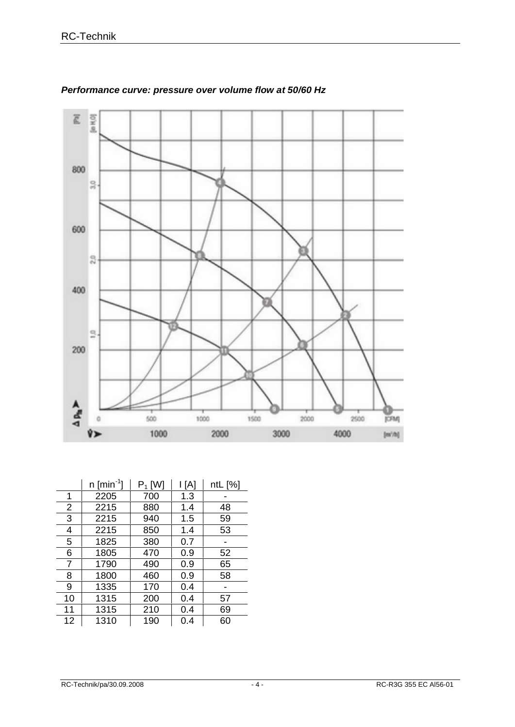

## *Performance curve: pressure over volume flow at 50/60 Hz*

|                | $n$ [min <sup>-1</sup> ] | $P_1$ [W] | l [A] | ntL [%] |
|----------------|--------------------------|-----------|-------|---------|
| 1              | 2205                     | 700       | 1.3   |         |
| $\overline{2}$ | 2215                     | 880       | 1.4   | 48      |
| 3              | 2215                     | 940       | 1.5   | 59      |
| 4              | 2215                     | 850       | 1.4   | 53      |
| 5              | 1825                     | 380       | 0.7   |         |
| 6              | 1805                     | 470       | 0.9   | 52      |
| 7              | 1790                     | 490       | 0.9   | 65      |
| 8              | 1800                     | 460       | 0.9   | 58      |
| 9              | 1335                     | 170       | 0.4   |         |
| 10             | 1315                     | 200       | 0.4   | 57      |
| 11             | 1315                     | 210       | 0.4   | 69      |
| 12             | 1310                     | 190       | 0.4   | 60      |